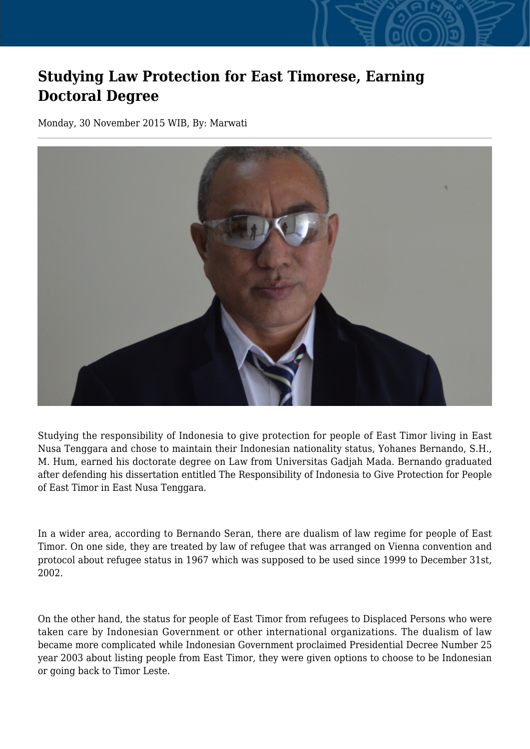## **Studying Law Protection for East Timorese, Earning Doctoral Degree**

Monday, 30 November 2015 WIB, By: Marwati



Studying the responsibility of Indonesia to give protection for people of East Timor living in East Nusa Tenggara and chose to maintain their Indonesian nationality status, Yohanes Bernando, S.H., M. Hum, earned his doctorate degree on Law from Universitas Gadjah Mada. Bernando graduated after defending his dissertation entitled The Responsibility of Indonesia to Give Protection for People of East Timor in East Nusa Tenggara.

In a wider area, according to Bernando Seran, there are dualism of law regime for people of East Timor. On one side, they are treated by law of refugee that was arranged on Vienna convention and protocol about refugee status in 1967 which was supposed to be used since 1999 to December 31st, 2002.

On the other hand, the status for people of East Timor from refugees to Displaced Persons who were taken care by Indonesian Government or other international organizations. The dualism of law became more complicated while Indonesian Government proclaimed Presidential Decree Number 25 year 2003 about listing people from East Timor, they were given options to choose to be Indonesian or going back to Timor Leste.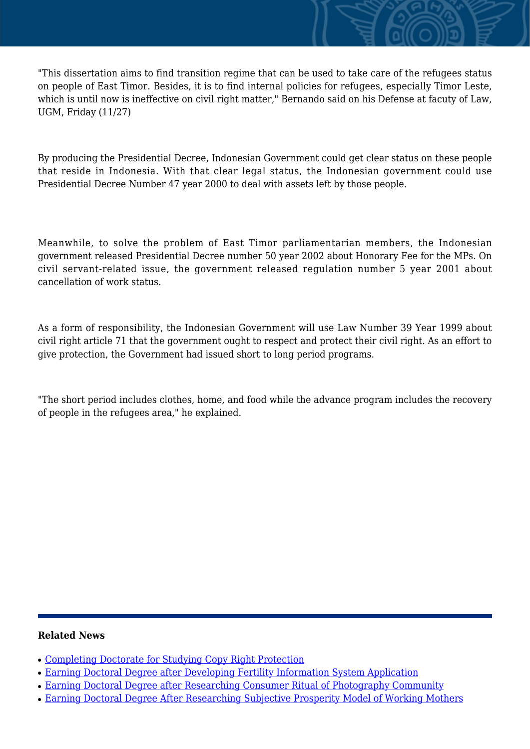"This dissertation aims to find transition regime that can be used to take care of the refugees status on people of East Timor. Besides, it is to find internal policies for refugees, especially Timor Leste, which is until now is ineffective on civil right matter," Bernando said on his Defense at facuty of Law, UGM, Friday (11/27)

By producing the Presidential Decree, Indonesian Government could get clear status on these people that reside in Indonesia. With that clear legal status, the Indonesian government could use Presidential Decree Number 47 year 2000 to deal with assets left by those people.

Meanwhile, to solve the problem of East Timor parliamentarian members, the Indonesian government released Presidential Decree number 50 year 2002 about Honorary Fee for the MPs. On civil servant-related issue, the government released regulation number 5 year 2001 about cancellation of work status.

As a form of responsibility, the Indonesian Government will use Law Number 39 Year 1999 about civil right article 71 that the government ought to respect and protect their civil right. As an effort to give protection, the Government had issued short to long period programs.

"The short period includes clothes, home, and food while the advance program includes the recovery of people in the refugees area," he explained.

## **Related News**

- [Completing Doctorate for Studying Copy Right Protection](http://ugm.ac.id/www.ugm.ac.id//en/news/15367-earning-doctoral-degree-after-researching-consumer-ritual-of-photography-community)
- [Earning Doctoral Degree after Developing Fertility Information System Application](http://ugm.ac.id/www.ugm.ac.id//en/news/15456-earning-doctoral-degree-after-researching-subjective-prosperity-model-of-working-mothers)
- [Earning Doctoral Degree after Researching Consumer Ritual of Photography Community](http://ugm.ac.id/www.ugm.ac.id//en/news/17172-earning-doctorate-after-assessing-information-seeking-behavior-of-tax-consultants)
- [Earning Doctoral Degree After Researching Subjective Prosperity Model of Working Mothers](http://ugm.ac.id/www.ugm.ac.id//en/news/12139-completing-doctorate-for-studying-copy-right-protection)